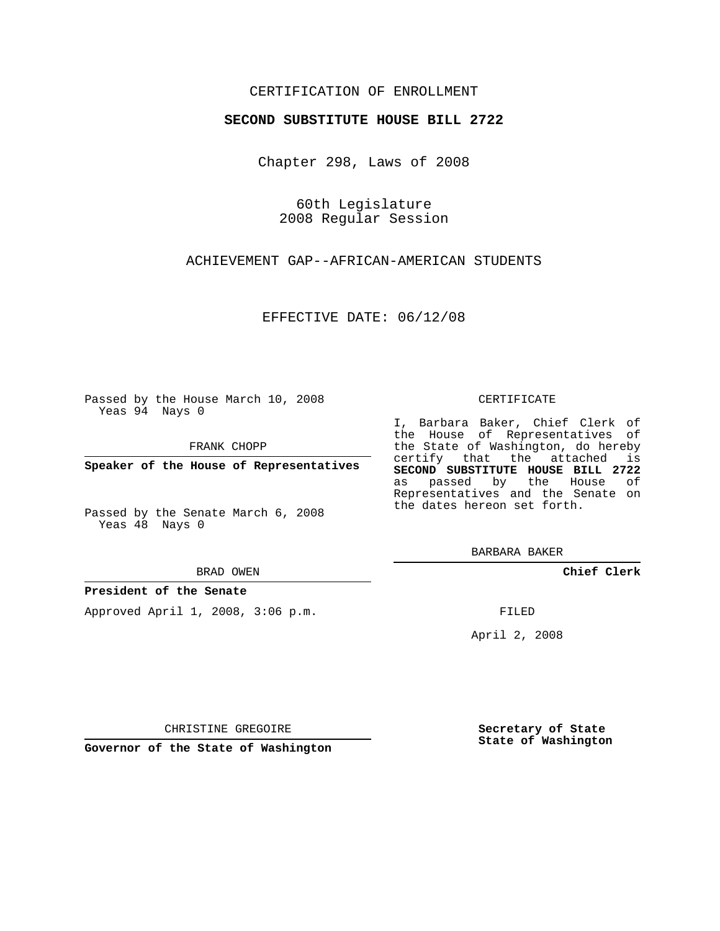## CERTIFICATION OF ENROLLMENT

## **SECOND SUBSTITUTE HOUSE BILL 2722**

Chapter 298, Laws of 2008

60th Legislature 2008 Regular Session

ACHIEVEMENT GAP--AFRICAN-AMERICAN STUDENTS

EFFECTIVE DATE: 06/12/08

Passed by the House March 10, 2008 Yeas 94 Nays 0

FRANK CHOPP

**Speaker of the House of Representatives**

Passed by the Senate March 6, 2008 Yeas 48 Nays 0

#### BRAD OWEN

### **President of the Senate**

Approved April 1, 2008, 3:06 p.m.

#### CERTIFICATE

I, Barbara Baker, Chief Clerk of the House of Representatives of the State of Washington, do hereby certify that the attached is **SECOND SUBSTITUTE HOUSE BILL 2722** as passed by the House of Representatives and the Senate on the dates hereon set forth.

BARBARA BAKER

**Chief Clerk**

FILED

April 2, 2008

CHRISTINE GREGOIRE

**Governor of the State of Washington**

**Secretary of State State of Washington**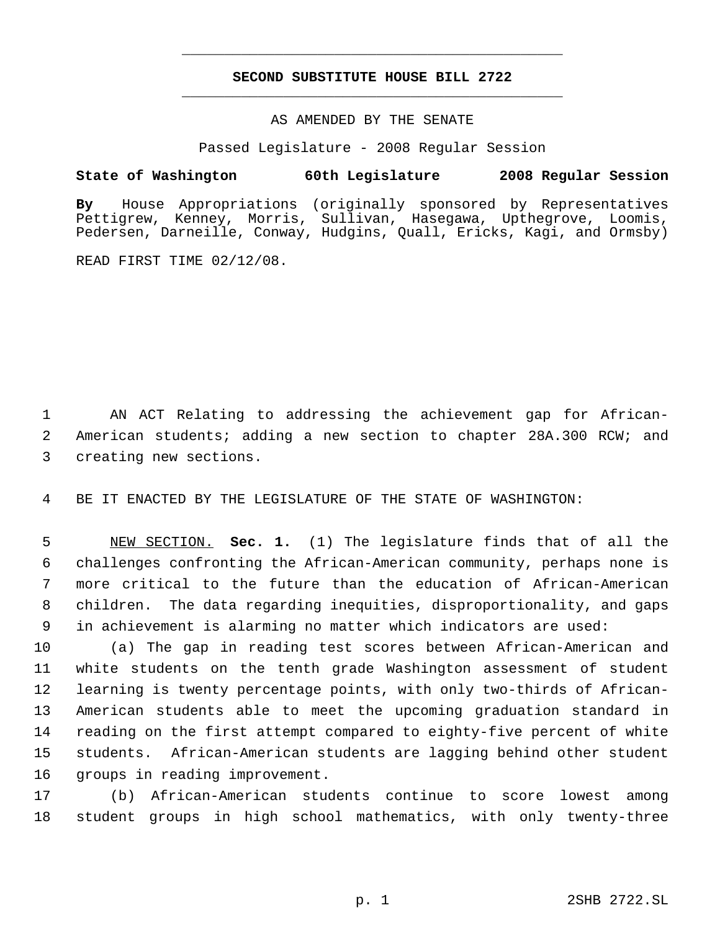# **SECOND SUBSTITUTE HOUSE BILL 2722** \_\_\_\_\_\_\_\_\_\_\_\_\_\_\_\_\_\_\_\_\_\_\_\_\_\_\_\_\_\_\_\_\_\_\_\_\_\_\_\_\_\_\_\_\_

\_\_\_\_\_\_\_\_\_\_\_\_\_\_\_\_\_\_\_\_\_\_\_\_\_\_\_\_\_\_\_\_\_\_\_\_\_\_\_\_\_\_\_\_\_

## AS AMENDED BY THE SENATE

Passed Legislature - 2008 Regular Session

## **State of Washington 60th Legislature 2008 Regular Session**

**By** House Appropriations (originally sponsored by Representatives Pettigrew, Kenney, Morris, Sullivan, Hasegawa, Upthegrove, Loomis, Pedersen, Darneille, Conway, Hudgins, Quall, Ericks, Kagi, and Ormsby)

READ FIRST TIME 02/12/08.

 AN ACT Relating to addressing the achievement gap for African- American students; adding a new section to chapter 28A.300 RCW; and creating new sections.

BE IT ENACTED BY THE LEGISLATURE OF THE STATE OF WASHINGTON:

 NEW SECTION. **Sec. 1.** (1) The legislature finds that of all the challenges confronting the African-American community, perhaps none is more critical to the future than the education of African-American children. The data regarding inequities, disproportionality, and gaps in achievement is alarming no matter which indicators are used:

 (a) The gap in reading test scores between African-American and white students on the tenth grade Washington assessment of student learning is twenty percentage points, with only two-thirds of African- American students able to meet the upcoming graduation standard in reading on the first attempt compared to eighty-five percent of white students. African-American students are lagging behind other student groups in reading improvement.

 (b) African-American students continue to score lowest among student groups in high school mathematics, with only twenty-three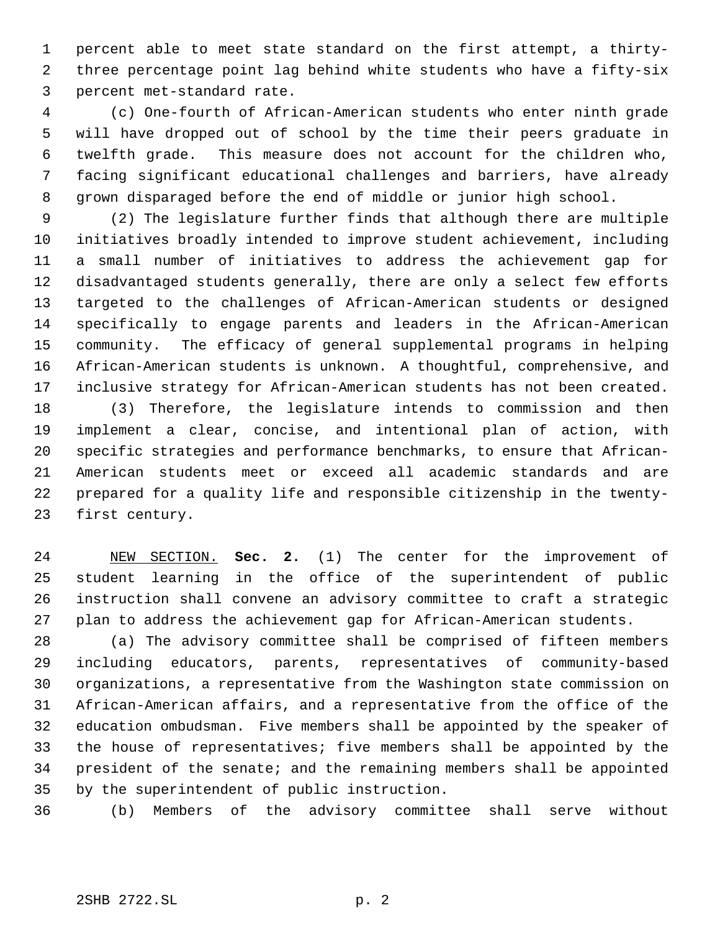percent able to meet state standard on the first attempt, a thirty- three percentage point lag behind white students who have a fifty-six percent met-standard rate.

 (c) One-fourth of African-American students who enter ninth grade will have dropped out of school by the time their peers graduate in twelfth grade. This measure does not account for the children who, facing significant educational challenges and barriers, have already grown disparaged before the end of middle or junior high school.

 (2) The legislature further finds that although there are multiple initiatives broadly intended to improve student achievement, including a small number of initiatives to address the achievement gap for disadvantaged students generally, there are only a select few efforts targeted to the challenges of African-American students or designed specifically to engage parents and leaders in the African-American community. The efficacy of general supplemental programs in helping African-American students is unknown. A thoughtful, comprehensive, and inclusive strategy for African-American students has not been created. (3) Therefore, the legislature intends to commission and then implement a clear, concise, and intentional plan of action, with

 specific strategies and performance benchmarks, to ensure that African- American students meet or exceed all academic standards and are prepared for a quality life and responsible citizenship in the twenty-first century.

 NEW SECTION. **Sec. 2.** (1) The center for the improvement of student learning in the office of the superintendent of public instruction shall convene an advisory committee to craft a strategic plan to address the achievement gap for African-American students.

 (a) The advisory committee shall be comprised of fifteen members including educators, parents, representatives of community-based organizations, a representative from the Washington state commission on African-American affairs, and a representative from the office of the education ombudsman. Five members shall be appointed by the speaker of the house of representatives; five members shall be appointed by the president of the senate; and the remaining members shall be appointed by the superintendent of public instruction.

(b) Members of the advisory committee shall serve without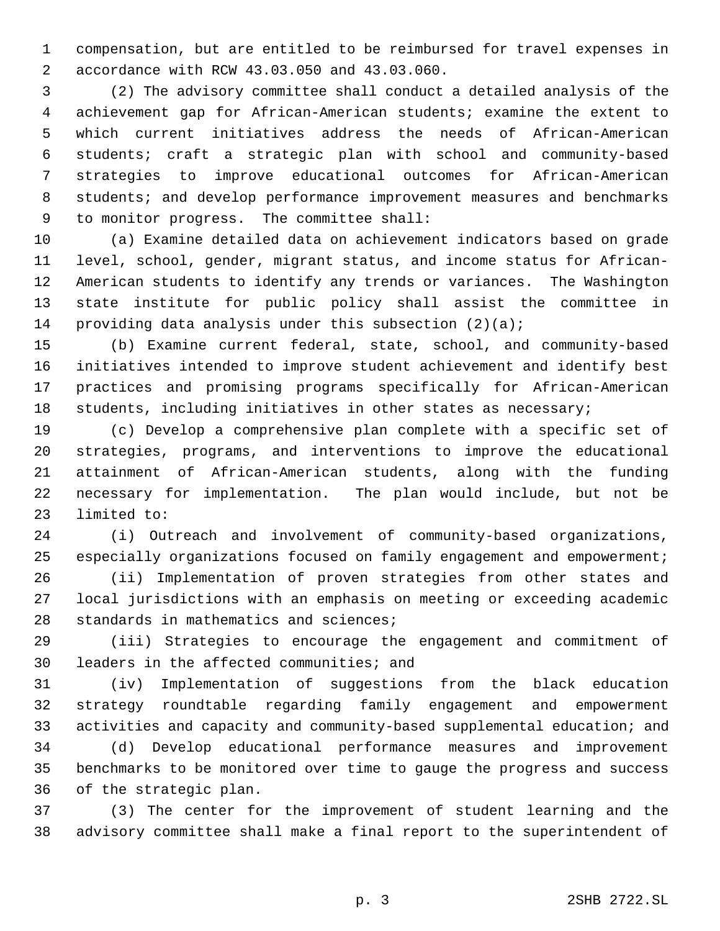compensation, but are entitled to be reimbursed for travel expenses in accordance with RCW 43.03.050 and 43.03.060.

 (2) The advisory committee shall conduct a detailed analysis of the achievement gap for African-American students; examine the extent to which current initiatives address the needs of African-American students; craft a strategic plan with school and community-based strategies to improve educational outcomes for African-American 8 students; and develop performance improvement measures and benchmarks to monitor progress. The committee shall:

 (a) Examine detailed data on achievement indicators based on grade level, school, gender, migrant status, and income status for African- American students to identify any trends or variances. The Washington state institute for public policy shall assist the committee in 14 providing data analysis under this subsection  $(2)(a)$ ;

 (b) Examine current federal, state, school, and community-based initiatives intended to improve student achievement and identify best practices and promising programs specifically for African-American students, including initiatives in other states as necessary;

 (c) Develop a comprehensive plan complete with a specific set of strategies, programs, and interventions to improve the educational attainment of African-American students, along with the funding necessary for implementation. The plan would include, but not be limited to:

 (i) Outreach and involvement of community-based organizations, especially organizations focused on family engagement and empowerment;

 (ii) Implementation of proven strategies from other states and local jurisdictions with an emphasis on meeting or exceeding academic standards in mathematics and sciences;

 (iii) Strategies to encourage the engagement and commitment of leaders in the affected communities; and

 (iv) Implementation of suggestions from the black education strategy roundtable regarding family engagement and empowerment activities and capacity and community-based supplemental education; and

 (d) Develop educational performance measures and improvement benchmarks to be monitored over time to gauge the progress and success of the strategic plan.

 (3) The center for the improvement of student learning and the advisory committee shall make a final report to the superintendent of